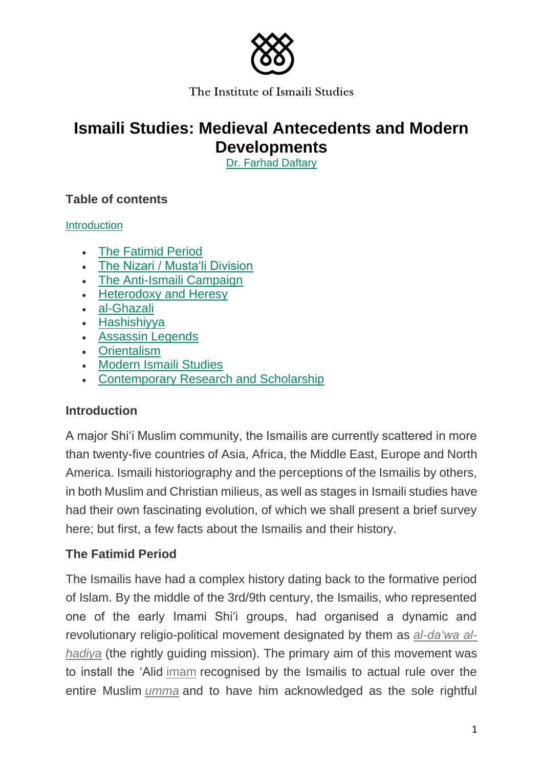

# **Ismaili Studies: Medieval Antecedents and Modern Developments**

Dr. Farhad Daftary

# **Table of contents**

**Introduction** 

- The Fatimid Period
- The Nizari / Musta'li Division
- The Anti-Ismaili Campaign
- Heterodoxy and Heresy
- al-Ghazali
- Hashishiyya
- Assassin Legends
- Orientalism
- Modern Ismaili Studies
- Contemporary Research and Scholarship

# **Introduction**

A major Shi'i Muslim community, the Ismailis are currently scattered in more than twenty-five countries of Asia, Africa, the Middle East, Europe and North America. Ismaili historiography and the perceptions of the Ismailis by others, in both Muslim and Christian milieus, as well as stages in Ismaili studies have had their own fascinating evolution, of which we shall present a brief survey here; but first, a few facts about the Ismailis and their history.

# **The Fatimid Period**

The Ismailis have had a complex history dating back to the formative period of Islam. By the middle of the 3rd/9th century, the Ismailis, who represented one of the early Imami Shi'i groups, had organised a dynamic and revolutionary religio-political movement designated by them as *al-da'wa alhadiya* (the rightly guiding mission). The primary aim of this movement was to install the 'Alid imam recognised by the Ismailis to actual rule over the entire Muslim *umma* and to have him acknowledged as the sole rightful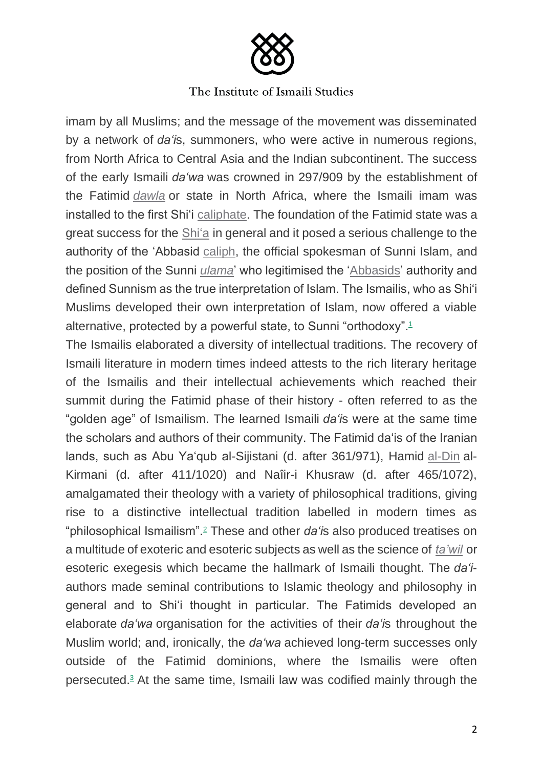

imam by all Muslims; and the message of the movement was disseminated by a network of *da'i*s, summoners, who were active in numerous regions, from North Africa to Central Asia and the Indian subcontinent. The success of the early Ismaili *da'wa* was crowned in 297/909 by the establishment of the Fatimid *dawla* or state in North Africa, where the Ismaili imam was installed to the first Shi'i caliphate. The foundation of the Fatimid state was a great success for the Shi'a in general and it posed a serious challenge to the authority of the 'Abbasid caliph, the official spokesman of Sunni Islam, and the position of the Sunni *ulama*' who legitimised the 'Abbasids' authority and defined Sunnism as the true interpretation of Islam. The Ismailis, who as Shi'i Muslims developed their own interpretation of Islam, now offered a viable alternative, protected by a powerful state, to Sunni "orthodoxy".<sup>1</sup>

The Ismailis elaborated a diversity of intellectual traditions. The recovery of Ismaili literature in modern times indeed attests to the rich literary heritage of the Ismailis and their intellectual achievements which reached their summit during the Fatimid phase of their history - often referred to as the "golden age" of Ismailism. The learned Ismaili *da'i*s were at the same time the scholars and authors of their community. The Fatimid da'is of the Iranian lands, such as Abu Ya'qub al-Sijistani (d. after 361/971), Hamid al-Din al-Kirmani (d. after 411/1020) and Naîir-i Khusraw (d. after 465/1072), amalgamated their theology with a variety of philosophical traditions, giving rise to a distinctive intellectual tradition labelled in modern times as "philosophical Ismailism".<sup>2</sup> These and other *da'i*s also produced treatises on a multitude of exoteric and esoteric subjects as well as the science of *ta'wil* or esoteric exegesis which became the hallmark of Ismaili thought. The *da'i*authors made seminal contributions to Islamic theology and philosophy in general and to Shi'i thought in particular. The Fatimids developed an elaborate *da'wa* organisation for the activities of their *da'i*s throughout the Muslim world; and, ironically, the *da'wa* achieved long-term successes only outside of the Fatimid dominions, where the Ismailis were often persecuted.<sup>3</sup> At the same time, Ismaili law was codified mainly through the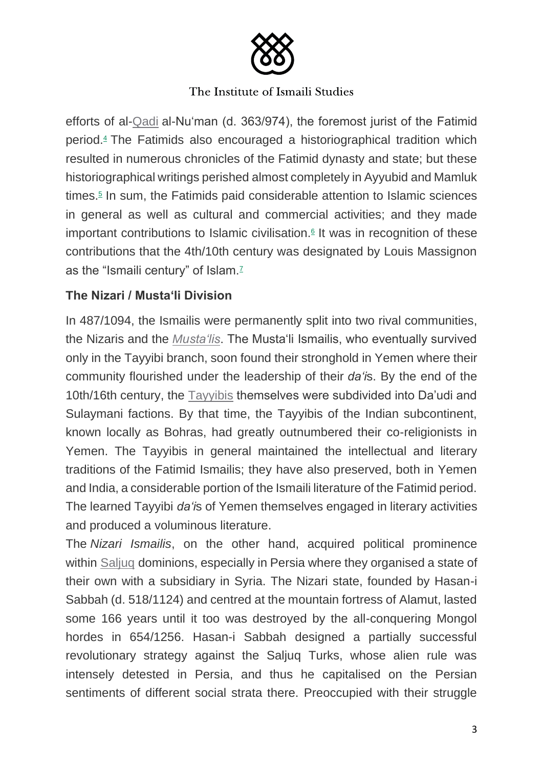

efforts of al-Qadi al-Nu'man (d. 363/974), the foremost jurist of the Fatimid period.<sup>4</sup> The Fatimids also encouraged a historiographical tradition which resulted in numerous chronicles of the Fatimid dynasty and state; but these historiographical writings perished almost completely in Ayyubid and Mamluk times.<sup>5</sup> In sum, the Fatimids paid considerable attention to Islamic sciences in general as well as cultural and commercial activities; and they made important contributions to Islamic civilisation. $6$  It was in recognition of these contributions that the 4th/10th century was designated by Louis Massignon as the "Ismaili century" of Islam.<sup>7</sup>

# **The Nizari / Musta'li Division**

In 487/1094, the Ismailis were permanently split into two rival communities, the Nizaris and the *Musta'lis*. The Musta'li Ismailis, who eventually survived only in the Tayyibi branch, soon found their stronghold in Yemen where their community flourished under the leadership of their *da'i*s. By the end of the 10th/16th century, the Tayyibis themselves were subdivided into Da'udi and Sulaymani factions. By that time, the Tayyibis of the Indian subcontinent, known locally as Bohras, had greatly outnumbered their co-religionists in Yemen. The Tayyibis in general maintained the intellectual and literary traditions of the Fatimid Ismailis; they have also preserved, both in Yemen and India, a considerable portion of the Ismaili literature of the Fatimid period. The learned Tayyibi *da'i*s of Yemen themselves engaged in literary activities and produced a voluminous literature.

The *Nizari Ismailis*, on the other hand, acquired political prominence within Saljuq dominions, especially in Persia where they organised a state of their own with a subsidiary in Syria. The Nizari state, founded by Hasan-i Sabbah (d. 518/1124) and centred at the mountain fortress of Alamut, lasted some 166 years until it too was destroyed by the all-conquering Mongol hordes in 654/1256. Hasan-i Sabbah designed a partially successful revolutionary strategy against the Saljuq Turks, whose alien rule was intensely detested in Persia, and thus he capitalised on the Persian sentiments of different social strata there. Preoccupied with their struggle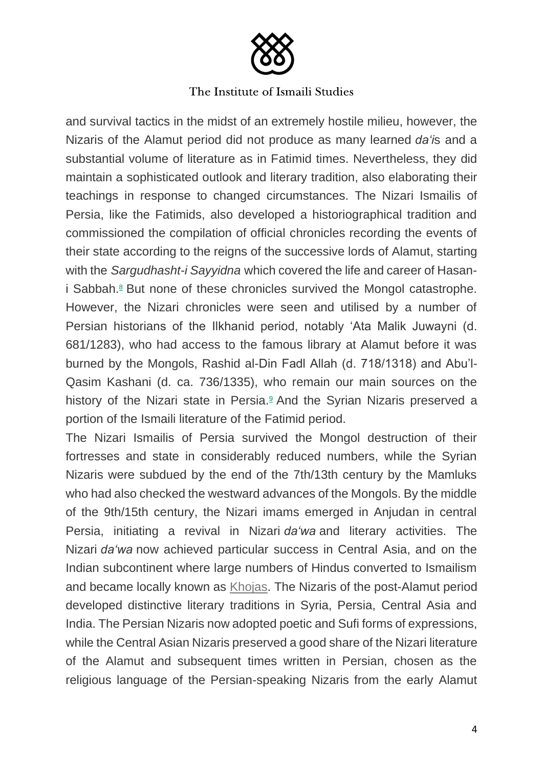

and survival tactics in the midst of an extremely hostile milieu, however, the Nizaris of the Alamut period did not produce as many learned *da'i*s and a substantial volume of literature as in Fatimid times. Nevertheless, they did maintain a sophisticated outlook and literary tradition, also elaborating their teachings in response to changed circumstances. The Nizari Ismailis of Persia, like the Fatimids, also developed a historiographical tradition and commissioned the compilation of official chronicles recording the events of their state according to the reigns of the successive lords of Alamut, starting with the *Sargudhasht-i Sayyidna* which covered the life and career of Hasani Sabbah.<sup>8</sup> But none of these chronicles survived the Mongol catastrophe. However, the Nizari chronicles were seen and utilised by a number of Persian historians of the Ilkhanid period, notably 'Ata Malik Juwayni (d. 681/1283), who had access to the famous library at Alamut before it was burned by the Mongols, Rashid al-Din Fadl Allah (d. 718/1318) and Abu'l-Qasim Kashani (d. ca. 736/1335), who remain our main sources on the history of the Nizari state in Persia. $9$  And the Syrian Nizaris preserved a portion of the Ismaili literature of the Fatimid period.

The Nizari Ismailis of Persia survived the Mongol destruction of their fortresses and state in considerably reduced numbers, while the Syrian Nizaris were subdued by the end of the 7th/13th century by the Mamluks who had also checked the westward advances of the Mongols. By the middle of the 9th/15th century, the Nizari imams emerged in Anjudan in central Persia, initiating a revival in Nizari *da'wa* and literary activities. The Nizari *da'wa* now achieved particular success in Central Asia, and on the Indian subcontinent where large numbers of Hindus converted to Ismailism and became locally known as Khojas. The Nizaris of the post-Alamut period developed distinctive literary traditions in Syria, Persia, Central Asia and India. The Persian Nizaris now adopted poetic and Sufi forms of expressions, while the Central Asian Nizaris preserved a good share of the Nizari literature of the Alamut and subsequent times written in Persian, chosen as the religious language of the Persian-speaking Nizaris from the early Alamut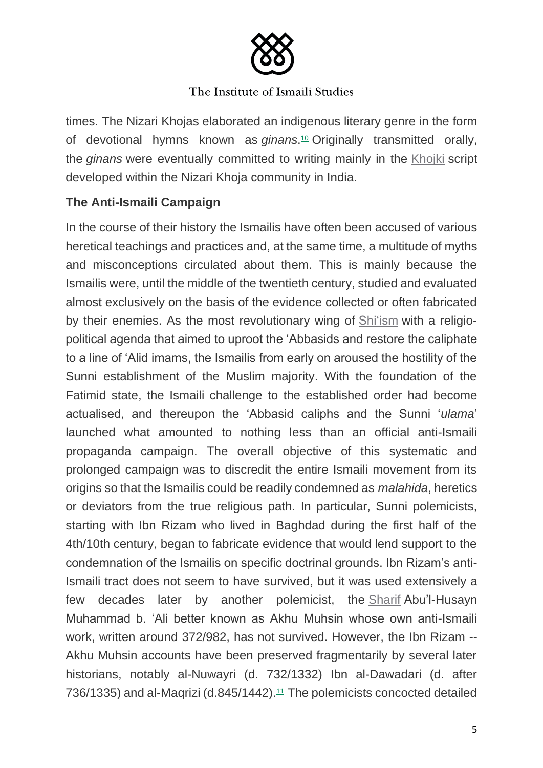

times. The Nizari Khojas elaborated an indigenous literary genre in the form of devotional hymns known as *ginans*. <sup>10</sup> Originally transmitted orally, the *ginans* were eventually committed to writing mainly in the Khojki script developed within the Nizari Khoja community in India.

# **The Anti-Ismaili Campaign**

In the course of their history the Ismailis have often been accused of various heretical teachings and practices and, at the same time, a multitude of myths and misconceptions circulated about them. This is mainly because the Ismailis were, until the middle of the twentieth century, studied and evaluated almost exclusively on the basis of the evidence collected or often fabricated by their enemies. As the most revolutionary wing of Shi'ism with a religiopolitical agenda that aimed to uproot the 'Abbasids and restore the caliphate to a line of 'Alid imams, the Ismailis from early on aroused the hostility of the Sunni establishment of the Muslim majority. With the foundation of the Fatimid state, the Ismaili challenge to the established order had become actualised, and thereupon the 'Abbasid caliphs and the Sunni '*ulama*' launched what amounted to nothing less than an official anti-Ismaili propaganda campaign. The overall objective of this systematic and prolonged campaign was to discredit the entire Ismaili movement from its origins so that the Ismailis could be readily condemned as *malahida*, heretics or deviators from the true religious path. In particular, Sunni polemicists, starting with Ibn Rizam who lived in Baghdad during the first half of the 4th/10th century, began to fabricate evidence that would lend support to the condemnation of the Ismailis on specific doctrinal grounds. Ibn Rizam's anti-Ismaili tract does not seem to have survived, but it was used extensively a few decades later by another polemicist, the Sharif Abu'l-Husayn Muhammad b. 'Ali better known as Akhu Muhsin whose own anti-Ismaili work, written around 372/982, has not survived. However, the Ibn Rizam -- Akhu Muhsin accounts have been preserved fragmentarily by several later historians, notably al-Nuwayri (d. 732/1332) Ibn al-Dawadari (d. after 736/1335) and al-Magrizi (d.845/1442).<sup>11</sup> The polemicists concocted detailed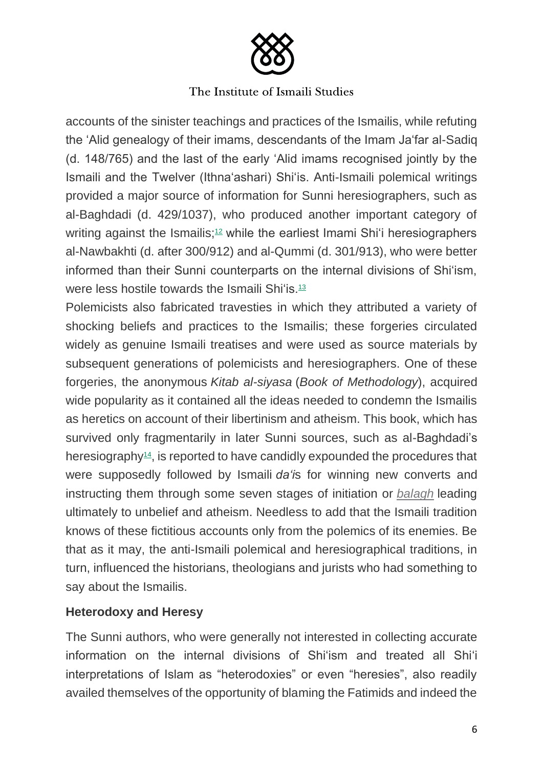

accounts of the sinister teachings and practices of the Ismailis, while refuting the 'Alid genealogy of their imams, descendants of the Imam Ja'far al-Sadiq (d. 148/765) and the last of the early 'Alid imams recognised jointly by the Ismaili and the Twelver (Ithna'ashari) Shi'is. Anti-Ismaili polemical writings provided a major source of information for Sunni heresiographers, such as al-Baghdadi (d. 429/1037), who produced another important category of writing against the Ismailis;<sup>12</sup> while the earliest Imami Shi'i heresiographers al-Nawbakhti (d. after 300/912) and al-Qummi (d. 301/913), who were better informed than their Sunni counterparts on the internal divisions of Shi'ism, were less hostile towards the Ismaili Shi'is.<sup>13</sup>

Polemicists also fabricated travesties in which they attributed a variety of shocking beliefs and practices to the Ismailis; these forgeries circulated widely as genuine Ismaili treatises and were used as source materials by subsequent generations of polemicists and heresiographers. One of these forgeries, the anonymous *Kitab al-siyasa* (*Book of Methodology*), acquired wide popularity as it contained all the ideas needed to condemn the Ismailis as heretics on account of their libertinism and atheism. This book, which has survived only fragmentarily in later Sunni sources, such as al-Baghdadi's heresiography<sup>14</sup>, is reported to have candidly expounded the procedures that were supposedly followed by Ismaili *da'i*s for winning new converts and instructing them through some seven stages of initiation or *balagh* leading ultimately to unbelief and atheism. Needless to add that the Ismaili tradition knows of these fictitious accounts only from the polemics of its enemies. Be that as it may, the anti-Ismaili polemical and heresiographical traditions, in turn, influenced the historians, theologians and jurists who had something to say about the Ismailis.

# **Heterodoxy and Heresy**

The Sunni authors, who were generally not interested in collecting accurate information on the internal divisions of Shi'ism and treated all Shi'i interpretations of Islam as "heterodoxies" or even "heresies", also readily availed themselves of the opportunity of blaming the Fatimids and indeed the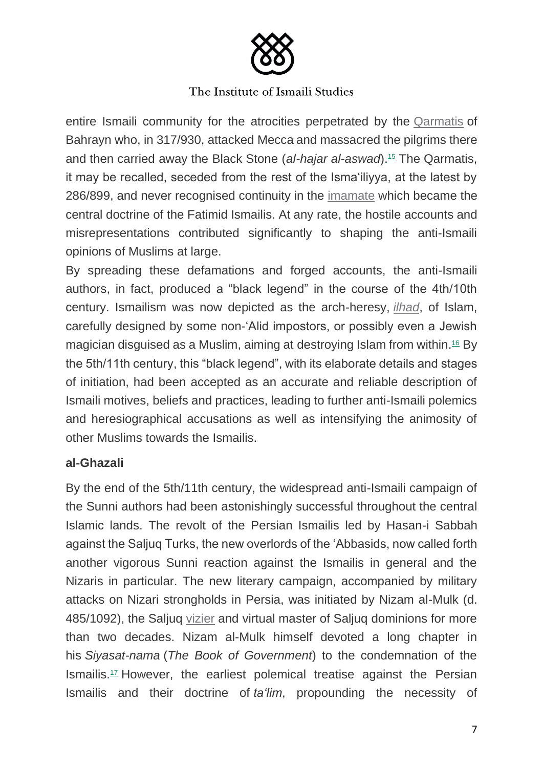

entire Ismaili community for the atrocities perpetrated by the Qarmatis of Bahrayn who, in 317/930, attacked Mecca and massacred the pilgrims there and then carried away the Black Stone (*al-hajar al-aswad*).<sup>15</sup> The Qarmatis, it may be recalled, seceded from the rest of the Isma'iliyya, at the latest by 286/899, and never recognised continuity in the imamate which became the central doctrine of the Fatimid Ismailis. At any rate, the hostile accounts and misrepresentations contributed significantly to shaping the anti-Ismaili opinions of Muslims at large.

By spreading these defamations and forged accounts, the anti-Ismaili authors, in fact, produced a "black legend" in the course of the 4th/10th century. Ismailism was now depicted as the arch-heresy, *ilhad*, of Islam, carefully designed by some non-'Alid impostors, or possibly even a Jewish magician disguised as a Muslim, aiming at destroying Islam from within. <sup>16</sup> By the 5th/11th century, this "black legend", with its elaborate details and stages of initiation, had been accepted as an accurate and reliable description of Ismaili motives, beliefs and practices, leading to further anti-Ismaili polemics and heresiographical accusations as well as intensifying the animosity of other Muslims towards the Ismailis.

## **al-Ghazali**

By the end of the 5th/11th century, the widespread anti-Ismaili campaign of the Sunni authors had been astonishingly successful throughout the central Islamic lands. The revolt of the Persian Ismailis led by Hasan-i Sabbah against the Saljuq Turks, the new overlords of the 'Abbasids, now called forth another vigorous Sunni reaction against the Ismailis in general and the Nizaris in particular. The new literary campaign, accompanied by military attacks on Nizari strongholds in Persia, was initiated by Nizam al-Mulk (d. 485/1092), the Saljuq vizier and virtual master of Saljuq dominions for more than two decades. Nizam al-Mulk himself devoted a long chapter in his *Siyasat-nama* (*The Book of Government*) to the condemnation of the Ismailis.<sup>17</sup> However, the earliest polemical treatise against the Persian Ismailis and their doctrine of *ta'lim*, propounding the necessity of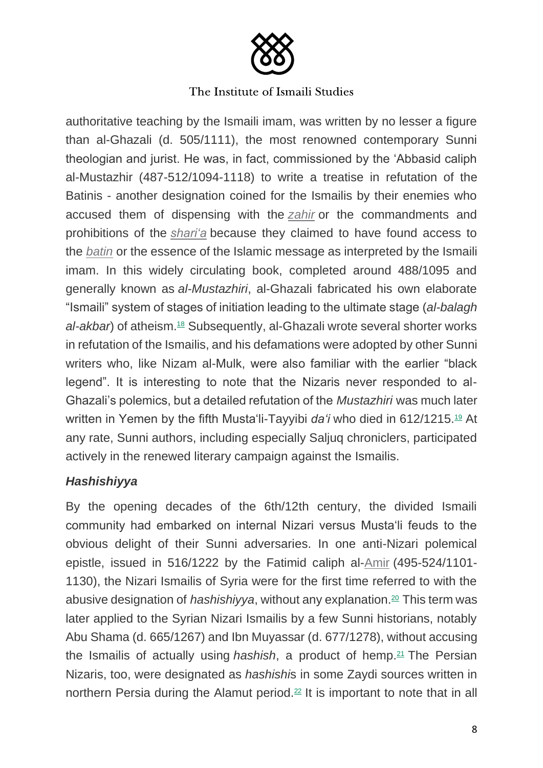

authoritative teaching by the Ismaili imam, was written by no lesser a figure than al-Ghazali (d. 505/1111), the most renowned contemporary Sunni theologian and jurist. He was, in fact, commissioned by the 'Abbasid caliph al-Mustazhir (487-512/1094-1118) to write a treatise in refutation of the Batinis - another designation coined for the Ismailis by their enemies who accused them of dispensing with the *zahir* or the commandments and prohibitions of the *shari'a* because they claimed to have found access to the *batin* or the essence of the Islamic message as interpreted by the Ismaili imam. In this widely circulating book, completed around 488/1095 and generally known as *al-Mustazhiri*, al-Ghazali fabricated his own elaborate "Ismaili" system of stages of initiation leading to the ultimate stage (*al-balagh*  al-akbar) of atheism.<sup>18</sup> Subsequently, al-Ghazali wrote several shorter works in refutation of the Ismailis, and his defamations were adopted by other Sunni writers who, like Nizam al-Mulk, were also familiar with the earlier "black legend". It is interesting to note that the Nizaris never responded to al-Ghazali's polemics, but a detailed refutation of the *Mustazhiri* was much later written in Yemen by the fifth Musta'li-Tayyibi *da'i* who died in 612/1215.<sup>19</sup> At any rate, Sunni authors, including especially Saljuq chroniclers, participated actively in the renewed literary campaign against the Ismailis.

# *Hashishiyya*

By the opening decades of the 6th/12th century, the divided Ismaili community had embarked on internal Nizari versus Musta'li feuds to the obvious delight of their Sunni adversaries. In one anti-Nizari polemical epistle, issued in 516/1222 by the Fatimid caliph al-Amir (495-524/1101- 1130), the Nizari Ismailis of Syria were for the first time referred to with the abusive designation of *hashishiyya*, without any explanation.<sup>20</sup> This term was later applied to the Syrian Nizari Ismailis by a few Sunni historians, notably Abu Shama (d. 665/1267) and Ibn Muyassar (d. 677/1278), without accusing the Ismailis of actually using *hashish*, a product of hemp.<sup>21</sup> The Persian Nizaris, too, were designated as *hashishi*s in some Zaydi sources written in northern Persia during the Alamut period.<sup>22</sup> It is important to note that in all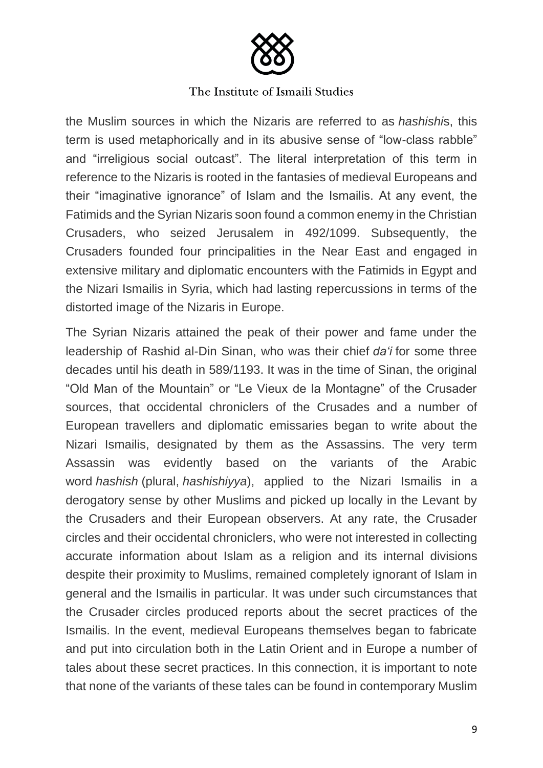

the Muslim sources in which the Nizaris are referred to as *hashishi*s, this term is used metaphorically and in its abusive sense of "low-class rabble" and "irreligious social outcast". The literal interpretation of this term in reference to the Nizaris is rooted in the fantasies of medieval Europeans and their "imaginative ignorance" of Islam and the Ismailis. At any event, the Fatimids and the Syrian Nizaris soon found a common enemy in the Christian Crusaders, who seized Jerusalem in 492/1099. Subsequently, the Crusaders founded four principalities in the Near East and engaged in extensive military and diplomatic encounters with the Fatimids in Egypt and the Nizari Ismailis in Syria, which had lasting repercussions in terms of the distorted image of the Nizaris in Europe.

The Syrian Nizaris attained the peak of their power and fame under the leadership of Rashid al-Din Sinan, who was their chief *da'i* for some three decades until his death in 589/1193. It was in the time of Sinan, the original "Old Man of the Mountain" or "Le Vieux de la Montagne" of the Crusader sources, that occidental chroniclers of the Crusades and a number of European travellers and diplomatic emissaries began to write about the Nizari Ismailis, designated by them as the Assassins. The very term Assassin was evidently based on the variants of the Arabic word *hashish* (plural, *hashishiyya*), applied to the Nizari Ismailis in a derogatory sense by other Muslims and picked up locally in the Levant by the Crusaders and their European observers. At any rate, the Crusader circles and their occidental chroniclers, who were not interested in collecting accurate information about Islam as a religion and its internal divisions despite their proximity to Muslims, remained completely ignorant of Islam in general and the Ismailis in particular. It was under such circumstances that the Crusader circles produced reports about the secret practices of the Ismailis. In the event, medieval Europeans themselves began to fabricate and put into circulation both in the Latin Orient and in Europe a number of tales about these secret practices. In this connection, it is important to note that none of the variants of these tales can be found in contemporary Muslim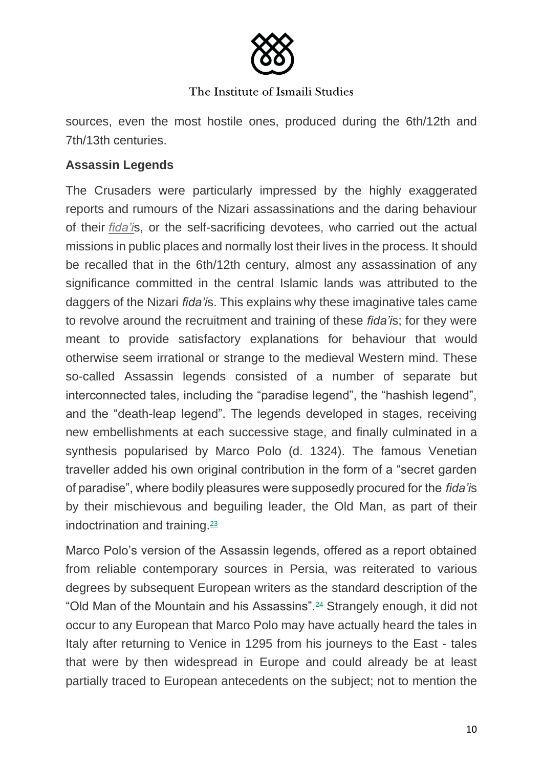

sources, even the most hostile ones, produced during the 6th/12th and 7th/13th centuries.

# **Assassin Legends**

The Crusaders were particularly impressed by the highly exaggerated reports and rumours of the Nizari assassinations and the daring behaviour of their *fida'i*s, or the self-sacrificing devotees, who carried out the actual missions in public places and normally lost their lives in the process. It should be recalled that in the 6th/12th century, almost any assassination of any significance committed in the central Islamic lands was attributed to the daggers of the Nizari *fida'i*s. This explains why these imaginative tales came to revolve around the recruitment and training of these *fida'i*s; for they were meant to provide satisfactory explanations for behaviour that would otherwise seem irrational or strange to the medieval Western mind. These so-called Assassin legends consisted of a number of separate but interconnected tales, including the "paradise legend", the "hashish legend", and the "death-leap legend". The legends developed in stages, receiving new embellishments at each successive stage, and finally culminated in a synthesis popularised by Marco Polo (d. 1324). The famous Venetian traveller added his own original contribution in the form of a "secret garden of paradise", where bodily pleasures were supposedly procured for the *fida'i*s by their mischievous and beguiling leader, the Old Man, as part of their indoctrination and training. $23$ 

Marco Polo's version of the Assassin legends, offered as a report obtained from reliable contemporary sources in Persia, was reiterated to various degrees by subsequent European writers as the standard description of the "Old Man of the Mountain and his Assassins".<sup>24</sup> Strangely enough, it did not occur to any European that Marco Polo may have actually heard the tales in Italy after returning to Venice in 1295 from his journeys to the East - tales that were by then widespread in Europe and could already be at least partially traced to European antecedents on the subject; not to mention the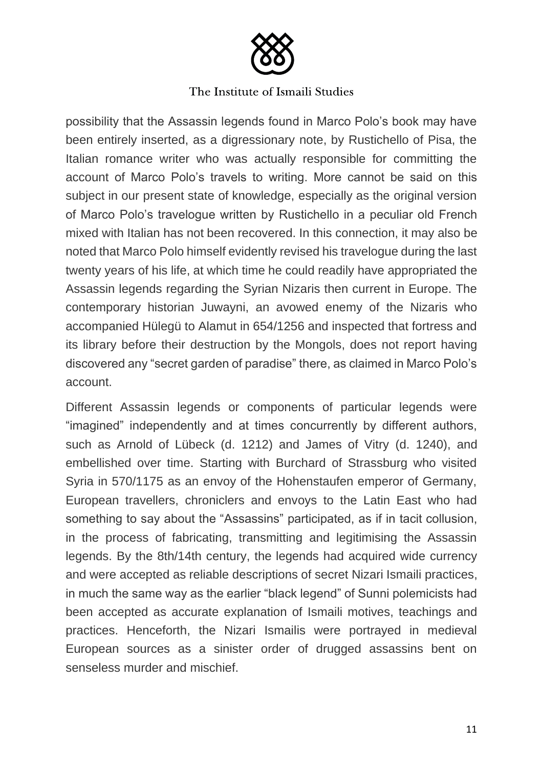

possibility that the Assassin legends found in Marco Polo's book may have been entirely inserted, as a digressionary note, by Rustichello of Pisa, the Italian romance writer who was actually responsible for committing the account of Marco Polo's travels to writing. More cannot be said on this subject in our present state of knowledge, especially as the original version of Marco Polo's travelogue written by Rustichello in a peculiar old French mixed with Italian has not been recovered. In this connection, it may also be noted that Marco Polo himself evidently revised his travelogue during the last twenty years of his life, at which time he could readily have appropriated the Assassin legends regarding the Syrian Nizaris then current in Europe. The contemporary historian Juwayni, an avowed enemy of the Nizaris who accompanied Hülegü to Alamut in 654/1256 and inspected that fortress and its library before their destruction by the Mongols, does not report having discovered any "secret garden of paradise" there, as claimed in Marco Polo's account.

Different Assassin legends or components of particular legends were "imagined" independently and at times concurrently by different authors, such as Arnold of Lübeck (d. 1212) and James of Vitry (d. 1240), and embellished over time. Starting with Burchard of Strassburg who visited Syria in 570/1175 as an envoy of the Hohenstaufen emperor of Germany, European travellers, chroniclers and envoys to the Latin East who had something to say about the "Assassins" participated, as if in tacit collusion, in the process of fabricating, transmitting and legitimising the Assassin legends. By the 8th/14th century, the legends had acquired wide currency and were accepted as reliable descriptions of secret Nizari Ismaili practices, in much the same way as the earlier "black legend" of Sunni polemicists had been accepted as accurate explanation of Ismaili motives, teachings and practices. Henceforth, the Nizari Ismailis were portrayed in medieval European sources as a sinister order of drugged assassins bent on senseless murder and mischief.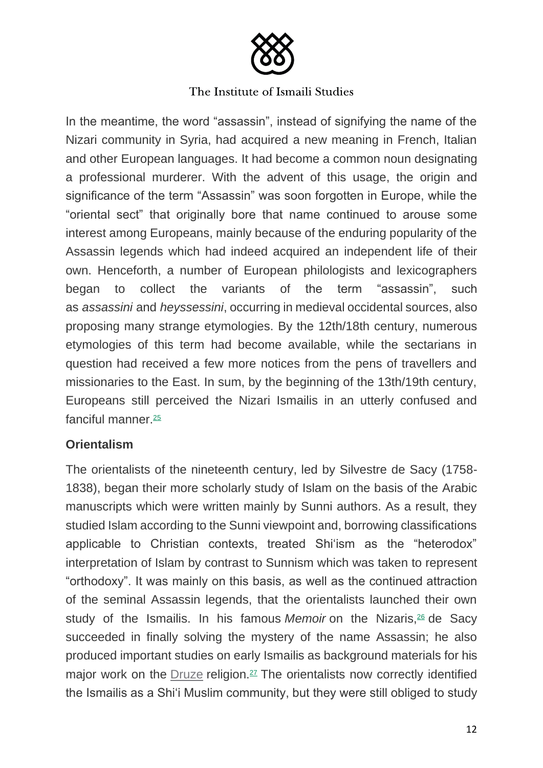

In the meantime, the word "assassin", instead of signifying the name of the Nizari community in Syria, had acquired a new meaning in French, Italian and other European languages. It had become a common noun designating a professional murderer. With the advent of this usage, the origin and significance of the term "Assassin" was soon forgotten in Europe, while the "oriental sect" that originally bore that name continued to arouse some interest among Europeans, mainly because of the enduring popularity of the Assassin legends which had indeed acquired an independent life of their own. Henceforth, a number of European philologists and lexicographers began to collect the variants of the term "assassin", such as *assassini* and *heyssessini*, occurring in medieval occidental sources, also proposing many strange etymologies. By the 12th/18th century, numerous etymologies of this term had become available, while the sectarians in question had received a few more notices from the pens of travellers and missionaries to the East. In sum, by the beginning of the 13th/19th century, Europeans still perceived the Nizari Ismailis in an utterly confused and fanciful manner.<sup>25</sup>

## **Orientalism**

The orientalists of the nineteenth century, led by Silvestre de Sacy (1758- 1838), began their more scholarly study of Islam on the basis of the Arabic manuscripts which were written mainly by Sunni authors. As a result, they studied Islam according to the Sunni viewpoint and, borrowing classifications applicable to Christian contexts, treated Shi'ism as the "heterodox" interpretation of Islam by contrast to Sunnism which was taken to represent "orthodoxy". It was mainly on this basis, as well as the continued attraction of the seminal Assassin legends, that the orientalists launched their own study of the Ismailis. In his famous *Memoir* on the Nizaris,<sup>26</sup> de Sacy succeeded in finally solving the mystery of the name Assassin; he also produced important studies on early Ismailis as background materials for his major work on the Druze religion.<sup>27</sup> The orientalists now correctly identified the Ismailis as a Shi'i Muslim community, but they were still obliged to study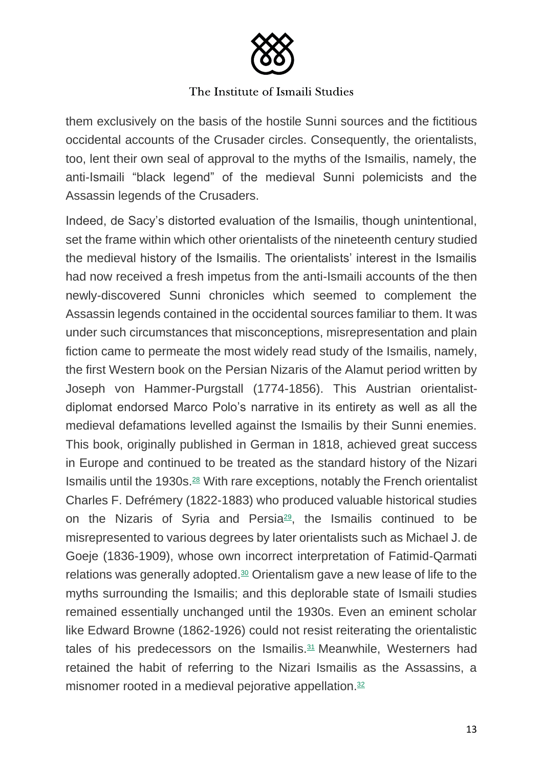

them exclusively on the basis of the hostile Sunni sources and the fictitious occidental accounts of the Crusader circles. Consequently, the orientalists, too, lent their own seal of approval to the myths of the Ismailis, namely, the anti-Ismaili "black legend" of the medieval Sunni polemicists and the Assassin legends of the Crusaders.

Indeed, de Sacy's distorted evaluation of the Ismailis, though unintentional, set the frame within which other orientalists of the nineteenth century studied the medieval history of the Ismailis. The orientalists' interest in the Ismailis had now received a fresh impetus from the anti-Ismaili accounts of the then newly-discovered Sunni chronicles which seemed to complement the Assassin legends contained in the occidental sources familiar to them. It was under such circumstances that misconceptions, misrepresentation and plain fiction came to permeate the most widely read study of the Ismailis, namely, the first Western book on the Persian Nizaris of the Alamut period written by Joseph von Hammer-Purgstall (1774-1856). This Austrian orientalistdiplomat endorsed Marco Polo's narrative in its entirety as well as all the medieval defamations levelled against the Ismailis by their Sunni enemies. This book, originally published in German in 1818, achieved great success in Europe and continued to be treated as the standard history of the Nizari Ismailis until the 1930s. $28$  With rare exceptions, notably the French orientalist Charles F. Defrémery (1822-1883) who produced valuable historical studies on the Nizaris of Syria and Persia<sup>29</sup>, the Ismailis continued to be misrepresented to various degrees by later orientalists such as Michael J. de Goeje (1836-1909), whose own incorrect interpretation of Fatimid-Qarmati relations was generally adopted.<sup>30</sup> Orientalism gave a new lease of life to the myths surrounding the Ismailis; and this deplorable state of Ismaili studies remained essentially unchanged until the 1930s. Even an eminent scholar like Edward Browne (1862-1926) could not resist reiterating the orientalistic tales of his predecessors on the Ismailis.<sup>31</sup> Meanwhile, Westerners had retained the habit of referring to the Nizari Ismailis as the Assassins, a misnomer rooted in a medieval pejorative appellation.<sup>32</sup>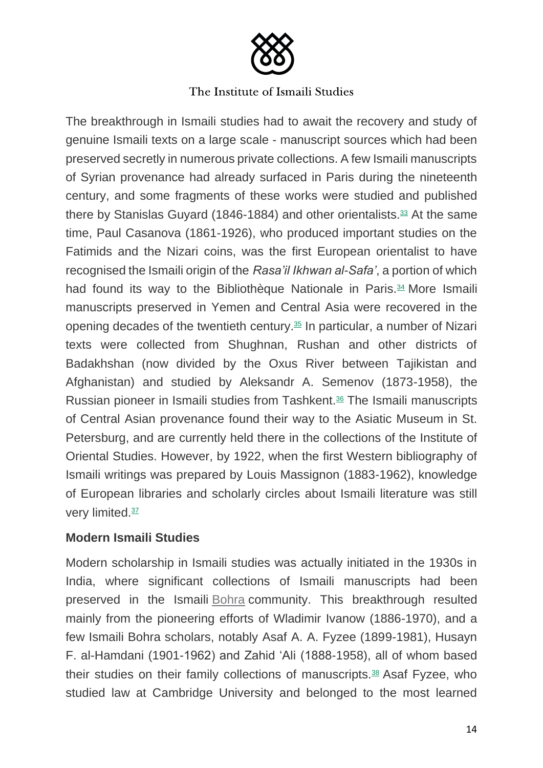

The breakthrough in Ismaili studies had to await the recovery and study of genuine Ismaili texts on a large scale - manuscript sources which had been preserved secretly in numerous private collections. A few Ismaili manuscripts of Syrian provenance had already surfaced in Paris during the nineteenth century, and some fragments of these works were studied and published there by Stanislas Guyard (1846-1884) and other orientalists. $33$  At the same time, Paul Casanova (1861-1926), who produced important studies on the Fatimids and the Nizari coins, was the first European orientalist to have recognised the Ismaili origin of the *Rasa'il Ikhwan al-Safa'*, a portion of which had found its way to the Bibliothèque Nationale in Paris.<sup>34</sup> More Ismaili manuscripts preserved in Yemen and Central Asia were recovered in the opening decades of the twentieth century.<sup>35</sup> In particular, a number of Nizari texts were collected from Shughnan, Rushan and other districts of Badakhshan (now divided by the Oxus River between Tajikistan and Afghanistan) and studied by Aleksandr A. Semenov (1873-1958), the Russian pioneer in Ismaili studies from Tashkent.<sup>36</sup> The Ismaili manuscripts of Central Asian provenance found their way to the Asiatic Museum in St. Petersburg, and are currently held there in the collections of the Institute of Oriental Studies. However, by 1922, when the first Western bibliography of Ismaili writings was prepared by Louis Massignon (1883-1962), knowledge of European libraries and scholarly circles about Ismaili literature was still very limited.<sup>37</sup>

## **Modern Ismaili Studies**

Modern scholarship in Ismaili studies was actually initiated in the 1930s in India, where significant collections of Ismaili manuscripts had been preserved in the Ismaili Bohra community. This breakthrough resulted mainly from the pioneering efforts of Wladimir Ivanow (1886-1970), and a few Ismaili Bohra scholars, notably Asaf A. A. Fyzee (1899-1981), Husayn F. al-Hamdani (1901-1962) and Zahid 'Ali (1888-1958), all of whom based their studies on their family collections of manuscripts.<sup>38</sup> Asaf Fyzee, who studied law at Cambridge University and belonged to the most learned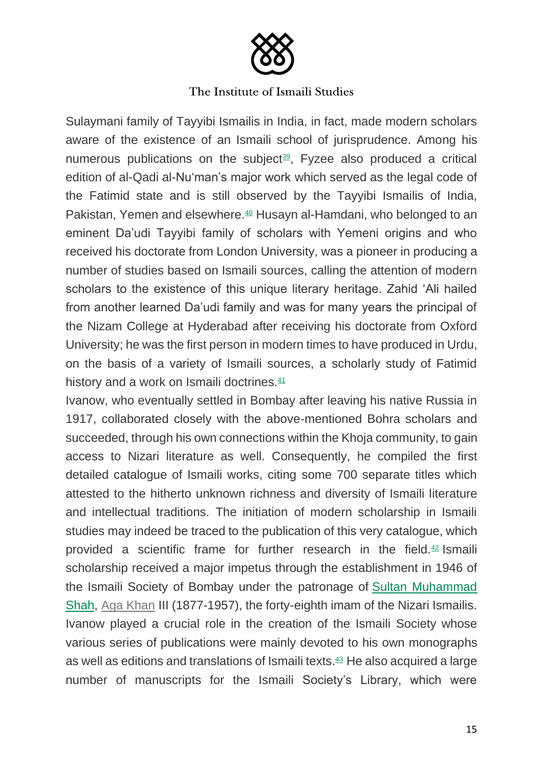

Sulaymani family of Tayyibi Ismailis in India, in fact, made modern scholars aware of the existence of an Ismaili school of jurisprudence. Among his numerous publications on the subject<sup>39</sup>, Fyzee also produced a critical edition of al-Qadi al-Nu'man's major work which served as the legal code of the Fatimid state and is still observed by the Tayyibi Ismailis of India, Pakistan, Yemen and elsewhere.<sup>40</sup> Husayn al-Hamdani, who belonged to an eminent Da'udi Tayyibi family of scholars with Yemeni origins and who received his doctorate from London University, was a pioneer in producing a number of studies based on Ismaili sources, calling the attention of modern scholars to the existence of this unique literary heritage. Zahid 'Ali hailed from another learned Da'udi family and was for many years the principal of the Nizam College at Hyderabad after receiving his doctorate from Oxford University; he was the first person in modern times to have produced in Urdu, on the basis of a variety of Ismaili sources, a scholarly study of Fatimid history and a work on Ismaili doctrines. $41$ 

Ivanow, who eventually settled in Bombay after leaving his native Russia in 1917, collaborated closely with the above-mentioned Bohra scholars and succeeded, through his own connections within the Khoja community, to gain access to Nizari literature as well. Consequently, he compiled the first detailed catalogue of Ismaili works, citing some 700 separate titles which attested to the hitherto unknown richness and diversity of Ismaili literature and intellectual traditions. The initiation of modern scholarship in Ismaili studies may indeed be traced to the publication of this very catalogue, which provided a scientific frame for further research in the field.<sup>42</sup> Ismaili scholarship received a major impetus through the establishment in 1946 of the Ismaili Society of Bombay under the patronage of Sultan Muhammad Shah, Aga Khan III (1877-1957), the forty-eighth imam of the Nizari Ismailis. Ivanow played a crucial role in the creation of the Ismaili Society whose various series of publications were mainly devoted to his own monographs as well as editions and translations of Ismaili texts.<sup>43</sup> He also acquired a large number of manuscripts for the Ismaili Society's Library, which were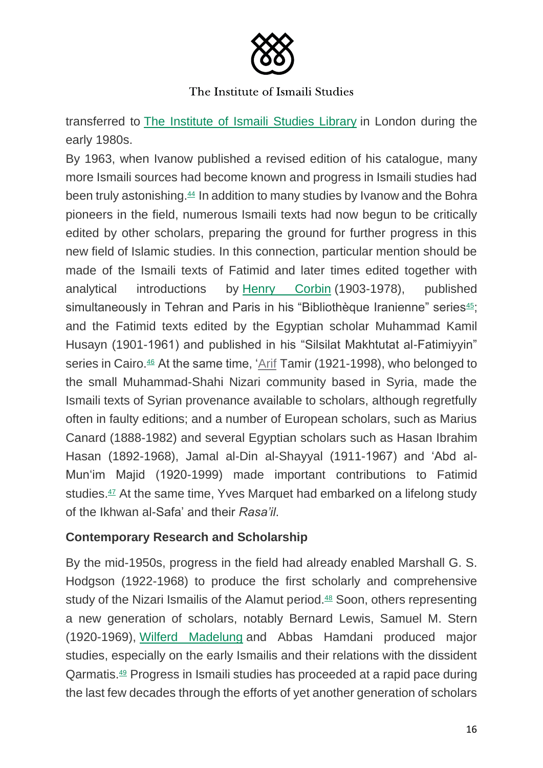

transferred to The Institute of Ismaili Studies Library in London during the early 1980s.

By 1963, when Ivanow published a revised edition of his catalogue, many more Ismaili sources had become known and progress in Ismaili studies had been truly astonishing.<sup>44</sup> In addition to many studies by Ivanow and the Bohra pioneers in the field, numerous Ismaili texts had now begun to be critically edited by other scholars, preparing the ground for further progress in this new field of Islamic studies. In this connection, particular mention should be made of the Ismaili texts of Fatimid and later times edited together with analytical introductions by Henry Corbin (1903-1978), published simultaneously in Tehran and Paris in his "Bibliothèque Iranienne" series<sup>45</sup>; and the Fatimid texts edited by the Egyptian scholar Muhammad Kamil Husayn (1901-1961) and published in his "Silsilat Makhtutat al-Fatimiyyin" series in Cairo.<sup>46</sup> At the same time, 'Arif Tamir (1921-1998), who belonged to the small Muhammad-Shahi Nizari community based in Syria, made the Ismaili texts of Syrian provenance available to scholars, although regretfully often in faulty editions; and a number of European scholars, such as Marius Canard (1888-1982) and several Egyptian scholars such as Hasan Ibrahim Hasan (1892-1968), Jamal al-Din al-Shayyal (1911-1967) and 'Abd al-Mun'im Majid (1920-1999) made important contributions to Fatimid studies.<sup>47</sup> At the same time, Yves Marquet had embarked on a lifelong study of the Ikhwan al-Safa' and their *Rasa'il*.

# **Contemporary Research and Scholarship**

By the mid-1950s, progress in the field had already enabled Marshall G. S. Hodgson (1922-1968) to produce the first scholarly and comprehensive study of the Nizari Ismailis of the Alamut period.<sup>48</sup> Soon, others representing a new generation of scholars, notably Bernard Lewis, Samuel M. Stern (1920-1969), Wilferd Madelung and Abbas Hamdani produced major studies, especially on the early Ismailis and their relations with the dissident Qarmatis.<sup>49</sup> Progress in Ismaili studies has proceeded at a rapid pace during the last few decades through the efforts of yet another generation of scholars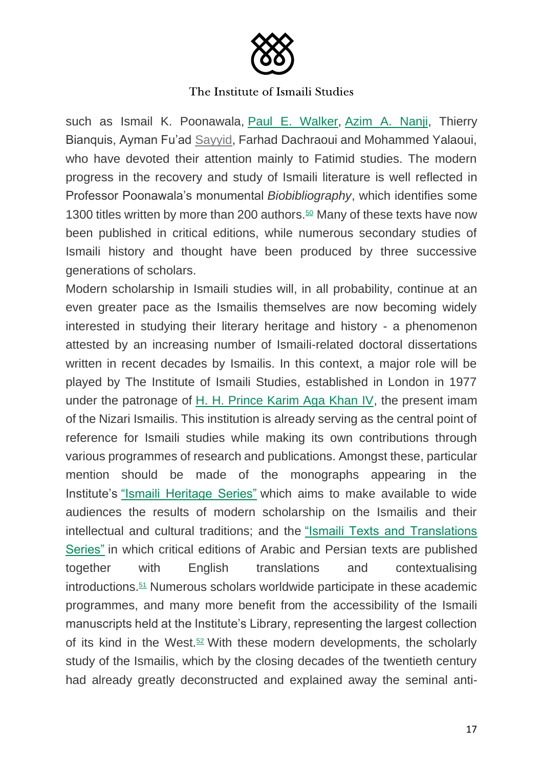

such as Ismail K. Poonawala, Paul E. Walker, Azim A. Nanji, Thierry Bianquis, Ayman Fu'ad Sayyid, Farhad Dachraoui and Mohammed Yalaoui, who have devoted their attention mainly to Fatimid studies. The modern progress in the recovery and study of Ismaili literature is well reflected in Professor Poonawala's monumental *Biobibliography*, which identifies some 1300 titles written by more than 200 authors.<sup>50</sup> Many of these texts have now been published in critical editions, while numerous secondary studies of Ismaili history and thought have been produced by three successive generations of scholars.

Modern scholarship in Ismaili studies will, in all probability, continue at an even greater pace as the Ismailis themselves are now becoming widely interested in studying their literary heritage and history - a phenomenon attested by an increasing number of Ismaili-related doctoral dissertations written in recent decades by Ismailis. In this context, a major role will be played by The Institute of Ismaili Studies, established in London in 1977 under the patronage of H. H. Prince Karim Aga Khan IV, the present imam of the Nizari Ismailis. This institution is already serving as the central point of reference for Ismaili studies while making its own contributions through various programmes of research and publications. Amongst these, particular mention should be made of the monographs appearing in the Institute's "Ismaili Heritage Series" which aims to make available to wide audiences the results of modern scholarship on the Ismailis and their intellectual and cultural traditions; and the "Ismaili Texts and Translations Series" in which critical editions of Arabic and Persian texts are published together with English translations and contextualising introductions.<sup>51</sup> Numerous scholars worldwide participate in these academic programmes, and many more benefit from the accessibility of the Ismaili manuscripts held at the Institute's Library, representing the largest collection of its kind in the West.<sup>52</sup> With these modern developments, the scholarly study of the Ismailis, which by the closing decades of the twentieth century had already greatly deconstructed and explained away the seminal anti-